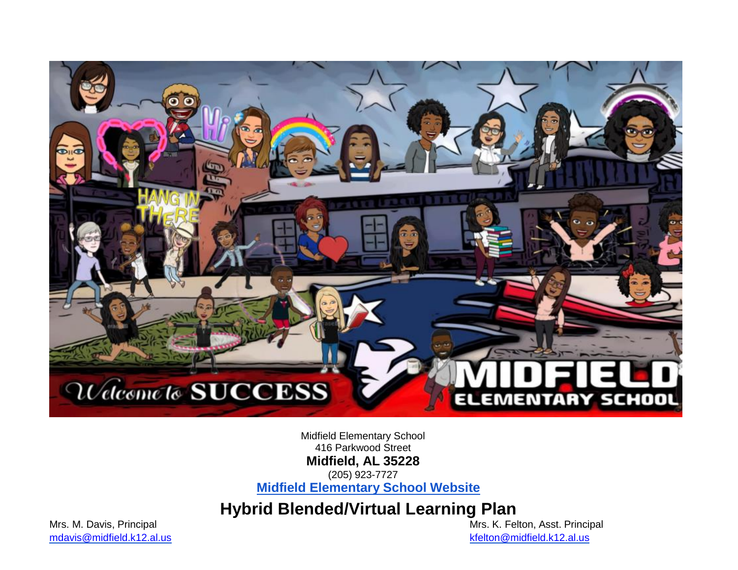

Midfield Elementary School 416 Parkwood Street **Midfield, AL 35228** (205) 923-7727

**[Midfield Elementary](https://www.midfield.k12.al.us/Domain/8) School Website**

**Hybrid Blended/Virtual Learning Plan**

Mrs. M. Davis, Principal Mrs. K. Felton, Asst. Principal [mdavis@midfield.k12.al.us](mailto:mdavis@midfield.k12.al.us) [kfelton@midfield.k12.al.us](mailto:kfelton@midfield.k12.al.us)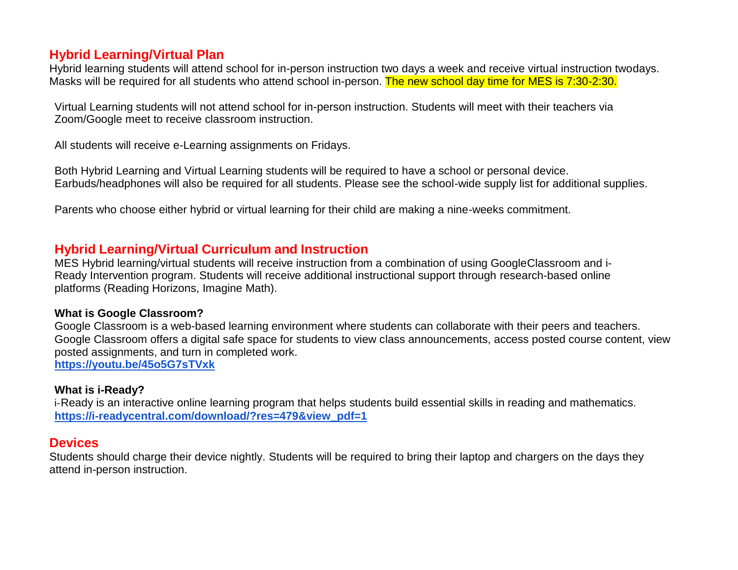## **Hybrid Learning/Virtual Plan**

Hybrid learning students will attend school for in-person instruction two days a week and receive virtual instruction twodays. Masks will be required for all students who attend school in-person. The new school day time for MES is 7:30-2:30.

Virtual Learning students will not attend school for in-person instruction. Students will meet with their teachers via Zoom/Google meet to receive classroom instruction.

All students will receive e-Learning assignments on Fridays.

Both Hybrid Learning and Virtual Learning students will be required to have a school or personal device. Earbuds/headphones will also be required for all students. Please see the school-wide supply list for additional supplies.

Parents who choose either hybrid or virtual learning for their child are making a nine-weeks commitment.

## **Hybrid Learning/Virtual Curriculum and Instruction**

MES Hybrid learning/virtual students will receive instruction from a combination of using GoogleClassroom and i-Ready Intervention program. Students will receive additional instructional support through research-based online platforms (Reading Horizons, Imagine Math).

#### **What is Google Classroom?**

Google Classroom is a web-based learning environment where students can collaborate with their peers and teachers. Google Classroom offers a digital safe space for students to view class announcements, access posted course content, view posted assignments, and turn in completed work. **<https://youtu.be/45o5G7sTVxk>**

#### **What is i-Ready?**

i-Ready is an interactive online learning program that helps students build essential skills in reading and mathematics. **[https://i-readycentral.com/download/?res=479&view\\_pdf=1](https://i-readycentral.com/download/?res=479&view_pdf=1)**

## **Devices**

Students should charge their device nightly. Students will be required to bring their laptop and chargers on the days they attend in-person instruction.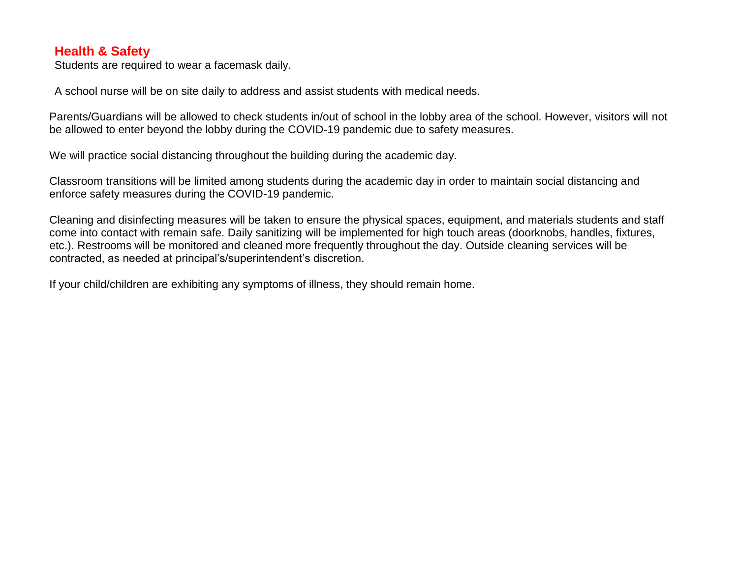## **Health & Safety**

Students are required to wear a facemask daily.

A school nurse will be on site daily to address and assist students with medical needs.

Parents/Guardians will be allowed to check students in/out of school in the lobby area of the school. However, visitors will not be allowed to enter beyond the lobby during the COVID-19 pandemic due to safety measures.

We will practice social distancing throughout the building during the academic day.

Classroom transitions will be limited among students during the academic day in order to maintain social distancing and enforce safety measures during the COVID-19 pandemic.

Cleaning and disinfecting measures will be taken to ensure the physical spaces, equipment, and materials students and staff come into contact with remain safe. Daily sanitizing will be implemented for high touch areas (doorknobs, handles, fixtures, etc.). Restrooms will be monitored and cleaned more frequently throughout the day. Outside cleaning services will be contracted, as needed at principal's/superintendent's discretion.

If your child/children are exhibiting any symptoms of illness, they should remain home.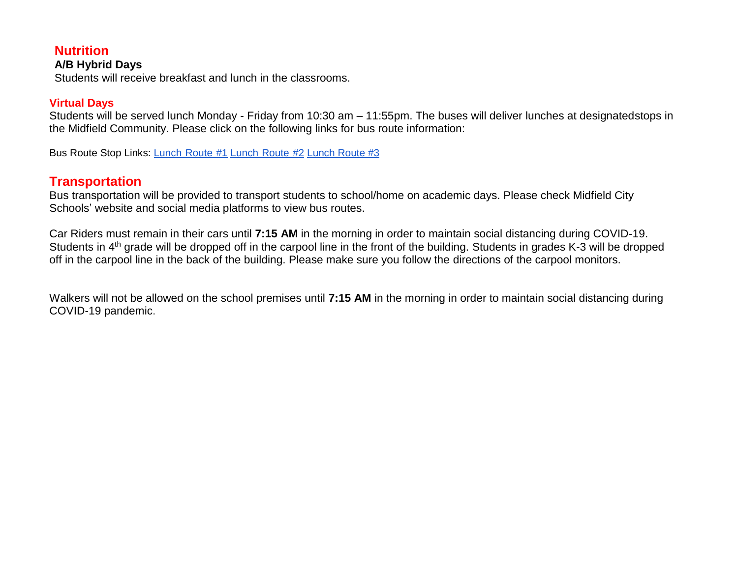## **Nutrition**

#### **A/B Hybrid Days**

Students will receive breakfast and lunch in the classrooms.

#### **Virtual Days**

Students will be served lunch Monday - Friday from 10:30 am – 11:55pm. The buses will deliver lunches at designatedstops in the Midfield Community. Please click on the following links for bus route information:

Bus Route Stop Links: [Lunch](https://docs.google.com/document/d/1H91LUzJcKGW1p6Z9OnjPgWJW0N7kncED7rJhCnvoKLU/edit?usp=sharing) Route #1 [Lunch](https://docs.google.com/document/d/1WCyBQOmum5O-T1U9Q5bdJ5f_iXNDwA9qQzUkGVwo-SQ/edit?usp=sharing) Route #2 [Lunch Route](https://docs.google.com/document/d/16sAOoQfEoDTd3OGQaYcDP4WVJsFrARQnvGrmmzTPqk0/edit?usp=sharing) #3

## **Transportation**

Bus transportation will be provided to transport students to school/home on academic days. Please check Midfield City Schools' website and social media platforms to view bus routes.

Car Riders must remain in their cars until **7:15 AM** in the morning in order to maintain social distancing during COVID-19. Students in 4<sup>th</sup> grade will be dropped off in the carpool line in the front of the building. Students in grades K-3 will be dropped off in the carpool line in the back of the building. Please make sure you follow the directions of the carpool monitors.

Walkers will not be allowed on the school premises until **7:15 AM** in the morning in order to maintain social distancing during COVID-19 pandemic.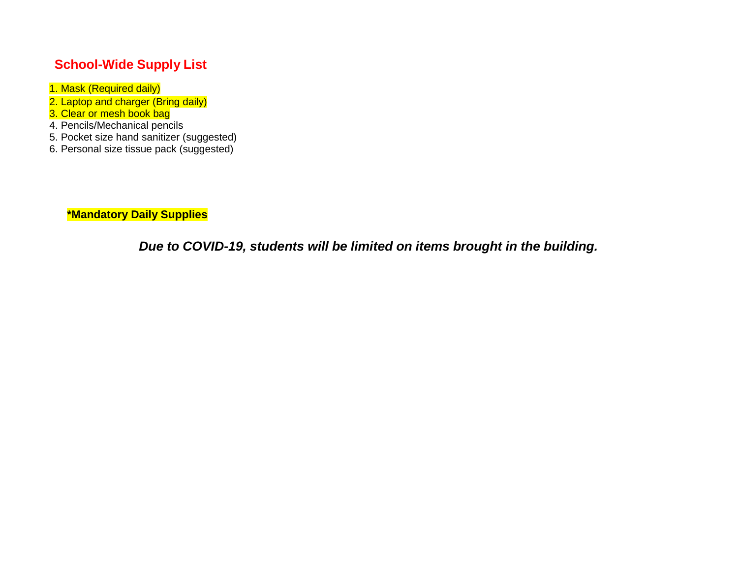## **School-Wide Supply List**

1. Mask (Required daily)

- 2. Laptop and charger (Bring daily)
- 3. Clear or mesh book bag
- 4. Pencils/Mechanical pencils
- 5. Pocket size hand sanitizer (suggested)
- 6. Personal size tissue pack (suggested)

**\*Mandatory Daily Supplies**

*Due to COVID-19, students will be limited on items brought in the building.*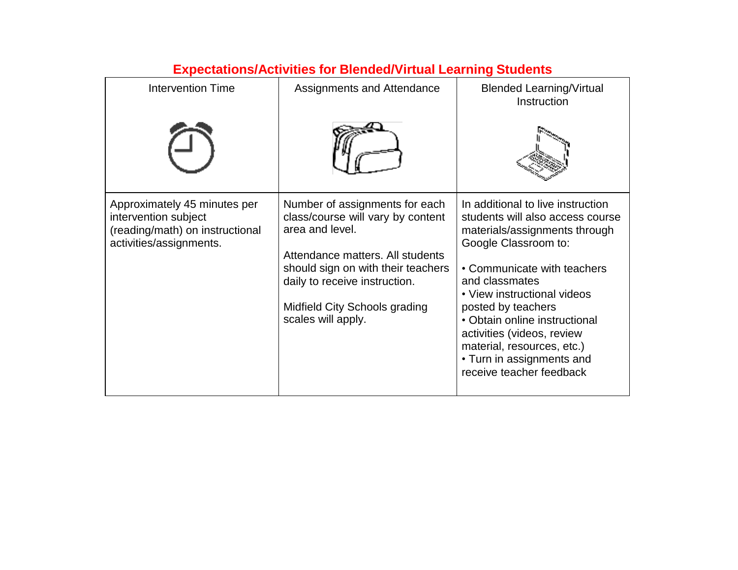| <b>Intervention Time</b>                                                                                           | Assignments and Attendance                                                                                                                                                                                                                               | <b>Blended Learning/Virtual</b><br>Instruction                                                                                                                                                                                                                                                                                                                                             |
|--------------------------------------------------------------------------------------------------------------------|----------------------------------------------------------------------------------------------------------------------------------------------------------------------------------------------------------------------------------------------------------|--------------------------------------------------------------------------------------------------------------------------------------------------------------------------------------------------------------------------------------------------------------------------------------------------------------------------------------------------------------------------------------------|
|                                                                                                                    |                                                                                                                                                                                                                                                          |                                                                                                                                                                                                                                                                                                                                                                                            |
| Approximately 45 minutes per<br>intervention subject<br>(reading/math) on instructional<br>activities/assignments. | Number of assignments for each<br>class/course will vary by content<br>area and level.<br>Attendance matters. All students<br>should sign on with their teachers<br>daily to receive instruction.<br>Midfield City Schools grading<br>scales will apply. | In additional to live instruction<br>students will also access course<br>materials/assignments through<br>Google Classroom to:<br>• Communicate with teachers<br>and classmates<br>• View instructional videos<br>posted by teachers<br>• Obtain online instructional<br>activities (videos, review<br>material, resources, etc.)<br>• Turn in assignments and<br>receive teacher feedback |

# **Expectations/Activities for Blended/Virtual Learning Students**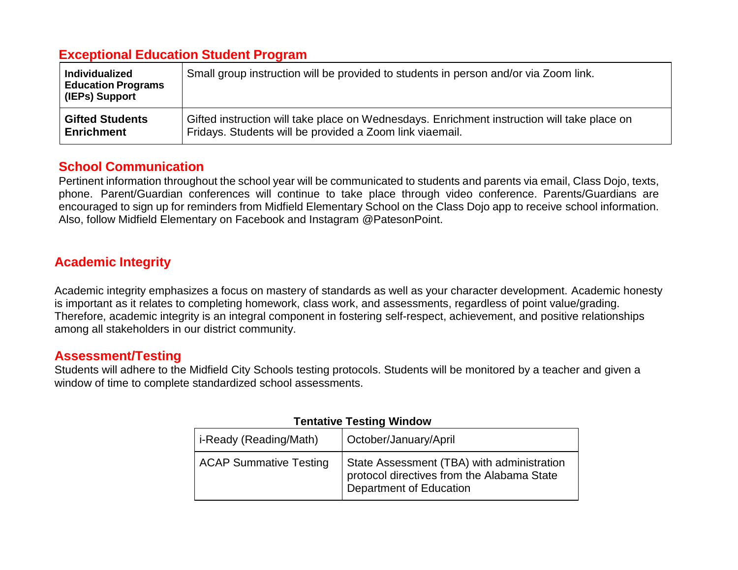## **Exceptional Education Student Program**

| Individualized<br><b>Education Programs</b><br>(IEPs) Support | Small group instruction will be provided to students in person and/or via Zoom link.        |
|---------------------------------------------------------------|---------------------------------------------------------------------------------------------|
| <b>Gifted Students</b>                                        | Gifted instruction will take place on Wednesdays. Enrichment instruction will take place on |
| <b>Enrichment</b>                                             | Fridays. Students will be provided a Zoom link viaemail.                                    |

## **School Communication**

Pertinent information throughout the school year will be communicated to students and parents via email, Class Dojo, texts, phone. Parent/Guardian conferences will continue to take place through video conference. Parents/Guardians are encouraged to sign up for reminders from Midfield Elementary School on the Class Dojo app to receive school information. Also, follow Midfield Elementary on Facebook and Instagram @PatesonPoint.

## **Academic Integrity**

Academic integrity emphasizes a focus on mastery of standards as well as your character development. Academic honesty is important as it relates to completing homework, class work, and assessments, regardless of point value/grading. Therefore, academic integrity is an integral component in fostering self-respect, achievement, and positive relationships among all stakeholders in our district community.

## **Assessment/Testing**

Students will adhere to the Midfield City Schools testing protocols. Students will be monitored by a teacher and given a window of time to complete standardized school assessments.

| i-Ready (Reading/Math)        | October/January/April                                                                                                      |  |
|-------------------------------|----------------------------------------------------------------------------------------------------------------------------|--|
| <b>ACAP Summative Testing</b> | State Assessment (TBA) with administration<br>protocol directives from the Alabama State<br><b>Department of Education</b> |  |

#### **Tentative Testing Window**